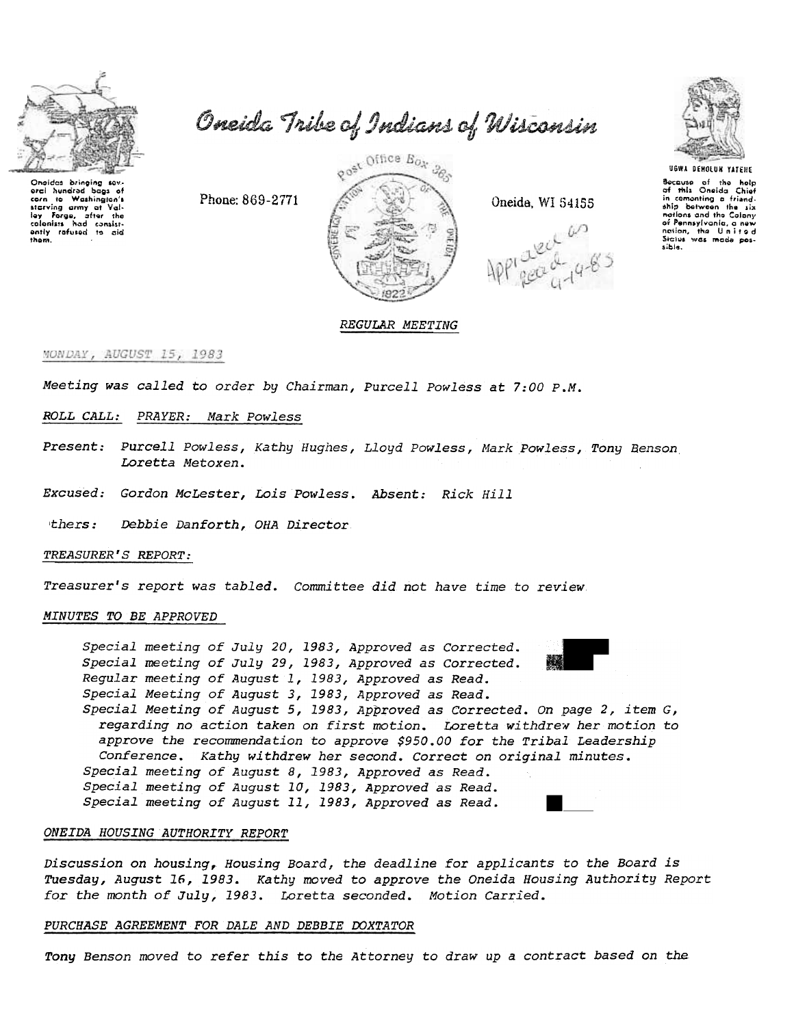

Onaidas bringing sav. erci hundrad bags of orci hundred bags of<br>corn to Washington's<br>starving army at Val-<br>ley Forge, after the<br>colonists had consist-<br>only rafused to aid<br>tham them.

Oneida Tribe of Indians of Wisconsin



Oneida, WI 54155





Bocause of the holp<br>of this Oneida Chief comonting a friendship between the six nations and the Colony<br>of Pennsylvania, a new nation, the United Sicius was made possible.

# REGULAR MEETING

## MONDAY, AUGUST 15, 1983

Meeting was called to order by Chairman, Purcell Powless at 7:00 P.M.

### ROLL CALL: PRAYER: Mark Powless

Present: Purcell Powless, Kathy Hughes, Lloyd Powless, Mark Powless, Tony Renson Loretta Metoxen.

Excused: Gordon McLester, Lois Powless. Absent: Rick Hill

Phone: 869-2771

thers: Debbie Danforth, OHA Director

TREASURER'S REPORT:

Treasurer's report was tabled. Committee did not have time to review

## MINUTES TO BE APPROVED

Special meeting of July 20, 1983, Approved as Corrected. Special meeting of July 29, 1983, Approved as Corrected. Regular meeting of August 1, 1983, Approved as Read. Special Meeting of August 3, 1983, Approved as Read. Special Meeting of August 5, 1983, Approved as Corrected. On page 2, item  $G$ , regarding no action taken on first motion. Loretta withdrew her motion to approve the recommendation to approve \$950.00 for the Tribal Leadership Conference. Kathy withdrew her second. Correct on original minutes. Special meeting of August 8, 1983, Approved as Read. Special meeting of August 10, 1983, Approved as Read. Special meeting of August 11, 1983, Approved as Read.

# ONEIDA HOUSING AUTHORITY REPORT

Discussion on housing, Housing Board, the deadline for applicants to the Board is Tuesday, August 16, 1983. Kathy moved to approve the Oneida Housing Authority Report for the month of July, 1983. Loretta seconded. Motion Carried.

#### PURCHASE AGREEMENT FOR DALE AND DEBBIE DOXTATOR

Tony Benson moved to refer this to the Attorney to draw up a contract based on the